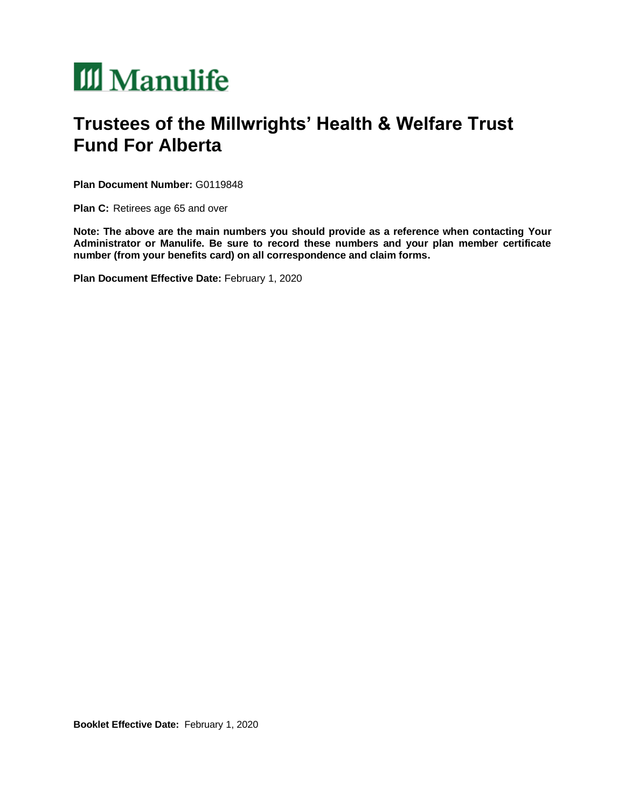# III Manulife

## **Trustees of the Millwrights' Health & Welfare Trust Fund For Alberta**

**Plan Document Number:** G0119848

**Plan C:** Retirees age 65 and over

**Note: The above are the main numbers you should provide as a reference when contacting Your Administrator or Manulife. Be sure to record these numbers and your plan member certificate number (from your benefits card) on all correspondence and claim forms.**

**Plan Document Effective Date:** February 1, 2020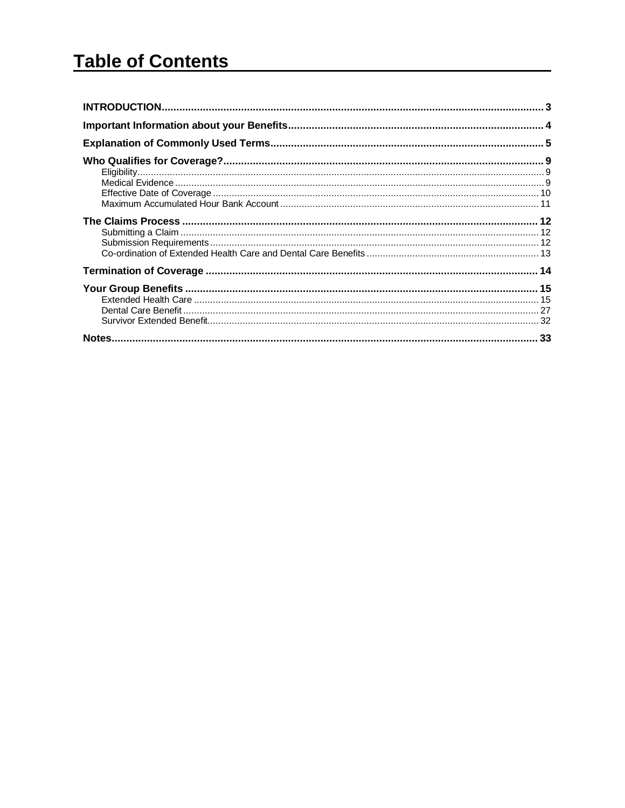## **Table of Contents**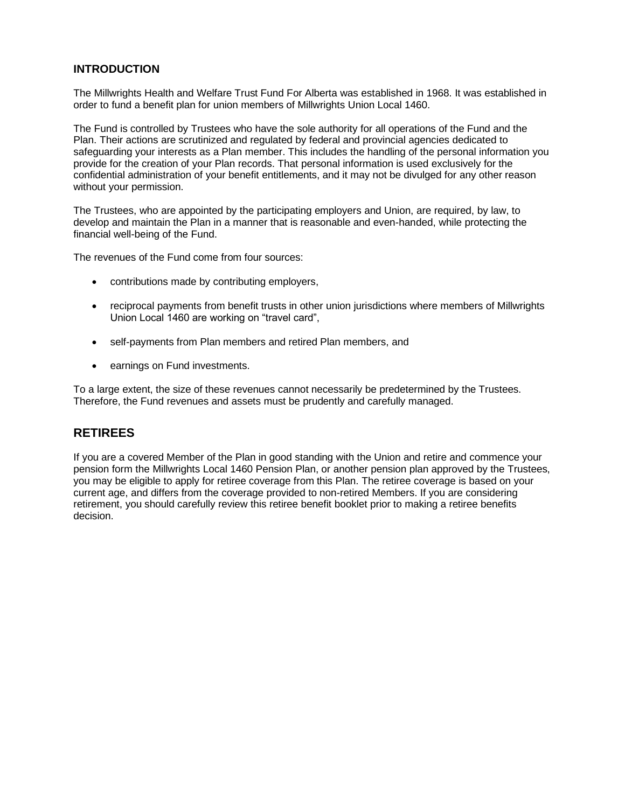#### <span id="page-2-0"></span>**INTRODUCTION**

The Millwrights Health and Welfare Trust Fund For Alberta was established in 1968. It was established in order to fund a benefit plan for union members of Millwrights Union Local 1460.

The Fund is controlled by Trustees who have the sole authority for all operations of the Fund and the Plan. Their actions are scrutinized and regulated by federal and provincial agencies dedicated to safeguarding your interests as a Plan member. This includes the handling of the personal information you provide for the creation of your Plan records. That personal information is used exclusively for the confidential administration of your benefit entitlements, and it may not be divulged for any other reason without your permission.

The Trustees, who are appointed by the participating employers and Union, are required, by law, to develop and maintain the Plan in a manner that is reasonable and even-handed, while protecting the financial well-being of the Fund.

The revenues of the Fund come from four sources:

- contributions made by contributing employers,
- reciprocal payments from benefit trusts in other union jurisdictions where members of Millwrights Union Local 1460 are working on "travel card",
- self-payments from Plan members and retired Plan members, and
- earnings on Fund investments.

To a large extent, the size of these revenues cannot necessarily be predetermined by the Trustees. Therefore, the Fund revenues and assets must be prudently and carefully managed.

### **RETIREES**

If you are a covered Member of the Plan in good standing with the Union and retire and commence your pension form the Millwrights Local 1460 Pension Plan, or another pension plan approved by the Trustees, you may be eligible to apply for retiree coverage from this Plan. The retiree coverage is based on your current age, and differs from the coverage provided to non-retired Members. If you are considering retirement, you should carefully review this retiree benefit booklet prior to making a retiree benefits decision.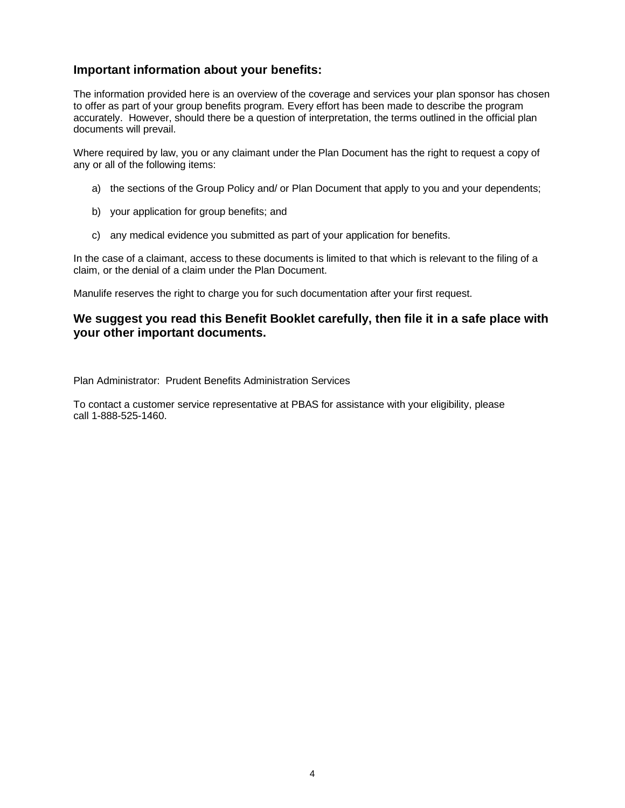## <span id="page-3-0"></span>**Important information about your benefits:**

The information provided here is an overview of the coverage and services your plan sponsor has chosen to offer as part of your group benefits program. Every effort has been made to describe the program accurately. However, should there be a question of interpretation, the terms outlined in the official plan documents will prevail.

Where required by law, you or any claimant under the Plan Document has the right to request a copy of any or all of the following items:

- a) the sections of the Group Policy and/ or Plan Document that apply to you and your dependents;
- b) your application for group benefits; and
- c) any medical evidence you submitted as part of your application for benefits.

In the case of a claimant, access to these documents is limited to that which is relevant to the filing of a claim, or the denial of a claim under the Plan Document.

Manulife reserves the right to charge you for such documentation after your first request.

### **We suggest you read this Benefit Booklet carefully, then file it in a safe place with your other important documents.**

Plan Administrator: Prudent Benefits Administration Services

To contact a customer service representative at PBAS for assistance with your eligibility, please call 1-888-525-1460.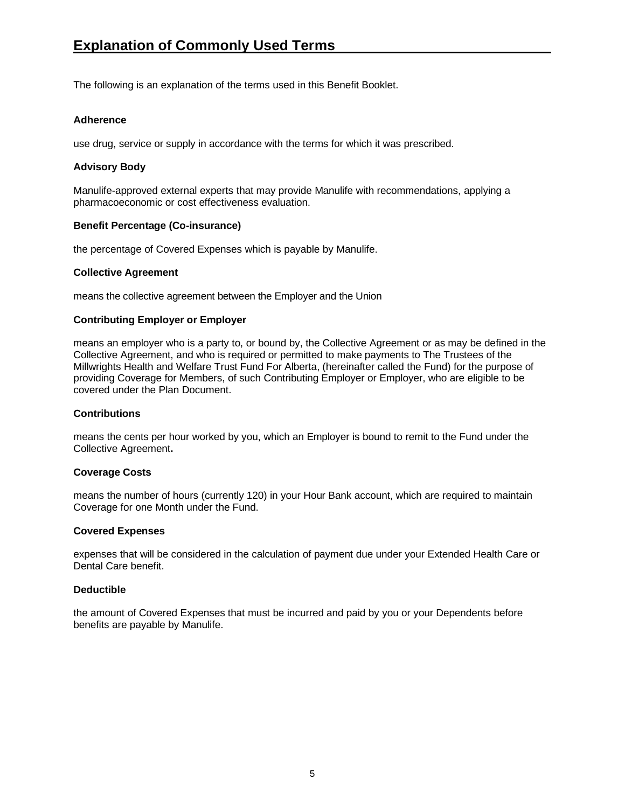<span id="page-4-0"></span>The following is an explanation of the terms used in this Benefit Booklet.

#### **Adherence**

use drug, service or supply in accordance with the terms for which it was prescribed.

#### **Advisory Body**

Manulife-approved external experts that may provide Manulife with recommendations, applying a pharmacoeconomic or cost effectiveness evaluation.

#### **Benefit Percentage (Co-insurance)**

the percentage of Covered Expenses which is payable by Manulife.

#### **Collective Agreement**

means the collective agreement between the Employer and the Union

#### **Contributing Employer or Employer**

means an employer who is a party to, or bound by, the Collective Agreement or as may be defined in the Collective Agreement, and who is required or permitted to make payments to The Trustees of the Millwrights Health and Welfare Trust Fund For Alberta, (hereinafter called the Fund) for the purpose of providing Coverage for Members, of such Contributing Employer or Employer, who are eligible to be covered under the Plan Document.

#### **Contributions**

means the cents per hour worked by you, which an Employer is bound to remit to the Fund under the Collective Agreement**.**

#### **Coverage Costs**

means the number of hours (currently 120) in your Hour Bank account, which are required to maintain Coverage for one Month under the Fund.

#### **Covered Expenses**

expenses that will be considered in the calculation of payment due under your Extended Health Care or Dental Care benefit.

#### **Deductible**

the amount of Covered Expenses that must be incurred and paid by you or your Dependents before benefits are payable by Manulife.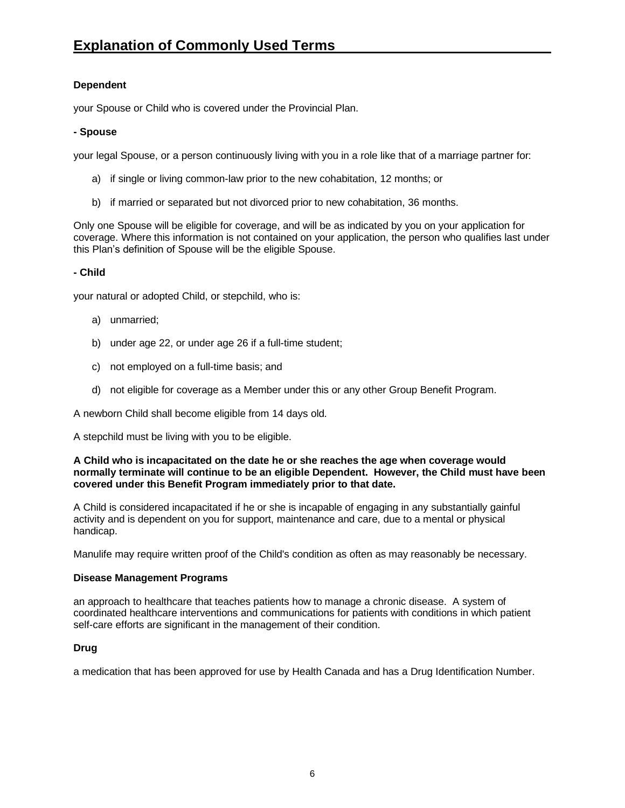#### **Dependent**

your Spouse or Child who is covered under the Provincial Plan.

#### **- Spouse**

your legal Spouse, or a person continuously living with you in a role like that of a marriage partner for:

- a) if single or living common-law prior to the new cohabitation, 12 months; or
- b) if married or separated but not divorced prior to new cohabitation, 36 months.

Only one Spouse will be eligible for coverage, and will be as indicated by you on your application for coverage. Where this information is not contained on your application, the person who qualifies last under this Plan's definition of Spouse will be the eligible Spouse.

#### **- Child**

your natural or adopted Child, or stepchild, who is:

- a) unmarried;
- b) under age 22, or under age 26 if a full-time student;
- c) not employed on a full-time basis; and
- d) not eligible for coverage as a Member under this or any other Group Benefit Program.

A newborn Child shall become eligible from 14 days old.

A stepchild must be living with you to be eligible.

#### **A Child who is incapacitated on the date he or she reaches the age when coverage would normally terminate will continue to be an eligible Dependent. However, the Child must have been covered under this Benefit Program immediately prior to that date.**

A Child is considered incapacitated if he or she is incapable of engaging in any substantially gainful activity and is dependent on you for support, maintenance and care, due to a mental or physical handicap.

Manulife may require written proof of the Child's condition as often as may reasonably be necessary.

#### **Disease Management Programs**

an approach to healthcare that teaches patients how to manage a chronic disease. A system of coordinated healthcare interventions and communications for patients with conditions in which patient self-care efforts are significant in the management of their condition.

#### **Drug**

a medication that has been approved for use by Health Canada and has a Drug Identification Number.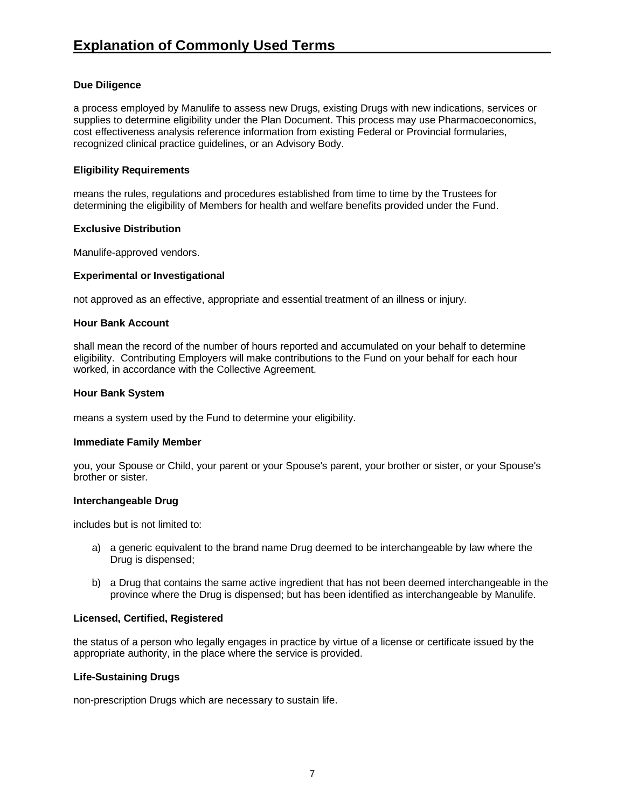#### **Due Diligence**

a process employed by Manulife to assess new Drugs, existing Drugs with new indications, services or supplies to determine eligibility under the Plan Document. This process may use Pharmacoeconomics, cost effectiveness analysis reference information from existing Federal or Provincial formularies, recognized clinical practice guidelines, or an Advisory Body.

#### **Eligibility Requirements**

means the rules, regulations and procedures established from time to time by the Trustees for determining the eligibility of Members for health and welfare benefits provided under the Fund.

#### **Exclusive Distribution**

Manulife-approved vendors.

#### **Experimental or Investigational**

not approved as an effective, appropriate and essential treatment of an illness or injury.

#### **Hour Bank Account**

shall mean the record of the number of hours reported and accumulated on your behalf to determine eligibility. Contributing Employers will make contributions to the Fund on your behalf for each hour worked, in accordance with the Collective Agreement.

#### **Hour Bank System**

means a system used by the Fund to determine your eligibility.

#### **Immediate Family Member**

you, your Spouse or Child, your parent or your Spouse's parent, your brother or sister, or your Spouse's brother or sister.

#### **Interchangeable Drug**

includes but is not limited to:

- a) a generic equivalent to the brand name Drug deemed to be interchangeable by law where the Drug is dispensed;
- b) a Drug that contains the same active ingredient that has not been deemed interchangeable in the province where the Drug is dispensed; but has been identified as interchangeable by Manulife.

#### **Licensed, Certified, Registered**

the status of a person who legally engages in practice by virtue of a license or certificate issued by the appropriate authority, in the place where the service is provided.

#### **Life-Sustaining Drugs**

non-prescription Drugs which are necessary to sustain life.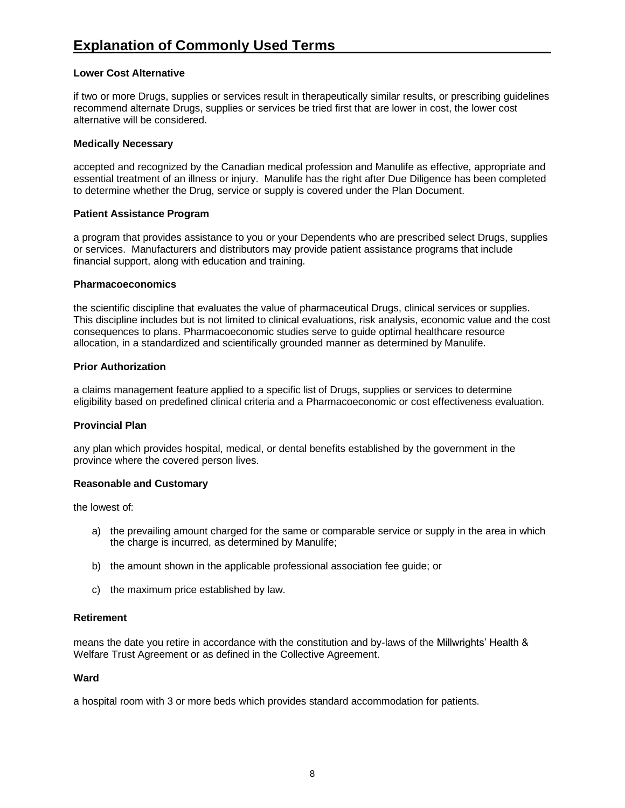#### **Lower Cost Alternative**

if two or more Drugs, supplies or services result in therapeutically similar results, or prescribing guidelines recommend alternate Drugs, supplies or services be tried first that are lower in cost, the lower cost alternative will be considered.

#### **Medically Necessary**

accepted and recognized by the Canadian medical profession and Manulife as effective, appropriate and essential treatment of an illness or injury. Manulife has the right after Due Diligence has been completed to determine whether the Drug, service or supply is covered under the Plan Document.

#### **Patient Assistance Program**

a program that provides assistance to you or your Dependents who are prescribed select Drugs, supplies or services. Manufacturers and distributors may provide patient assistance programs that include financial support, along with education and training.

#### **Pharmacoeconomics**

the scientific discipline that evaluates the value of pharmaceutical Drugs, clinical services or supplies. This discipline includes but is not limited to clinical evaluations, risk analysis, economic value and the cost consequences to plans. Pharmacoeconomic studies serve to guide optimal healthcare resource allocation, in a standardized and scientifically grounded manner as determined by Manulife.

#### **Prior Authorization**

a claims management feature applied to a specific list of Drugs, supplies or services to determine eligibility based on predefined clinical criteria and a Pharmacoeconomic or cost effectiveness evaluation.

#### **Provincial Plan**

any plan which provides hospital, medical, or dental benefits established by the government in the province where the covered person lives.

#### **Reasonable and Customary**

the lowest of:

- a) the prevailing amount charged for the same or comparable service or supply in the area in which the charge is incurred, as determined by Manulife;
- b) the amount shown in the applicable professional association fee guide; or
- c) the maximum price established by law.

#### **Retirement**

means the date you retire in accordance with the constitution and by-laws of the Millwrights' Health & Welfare Trust Agreement or as defined in the Collective Agreement.

#### **Ward**

a hospital room with 3 or more beds which provides standard accommodation for patients.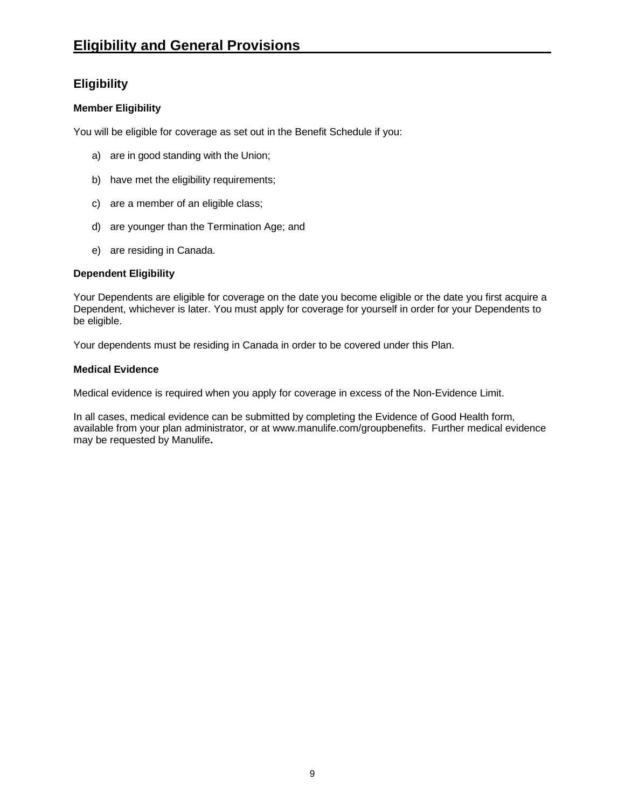## <span id="page-8-1"></span><span id="page-8-0"></span>**Eligibility**

### **Member Eligibility**

You will be eligible for coverage as set out in the Benefit Schedule if you:

- a) are in good standing with the Union;
- b) have met the eligibility requirements;
- c) are a member of an eligible class;
- d) are younger than the Termination Age; and
- e) are residing in Canada.

#### **Dependent Eligibility**

Your Dependents are eligible for coverage on the date you become eligible or the date you first acquire a Dependent, whichever is later. You must apply for coverage for yourself in order for your Dependents to be eligible.

Your dependents must be residing in Canada in order to be covered under this Plan.

#### <span id="page-8-2"></span>**Medical Evidence**

Medical evidence is required when you apply for coverage in excess of the Non-Evidence Limit.

In all cases, medical evidence can be submitted by completing the Evidence of Good Health form, available from your plan administrator, or at www.manulife.com/groupbenefits. Further medical evidence may be requested by Manulife**.**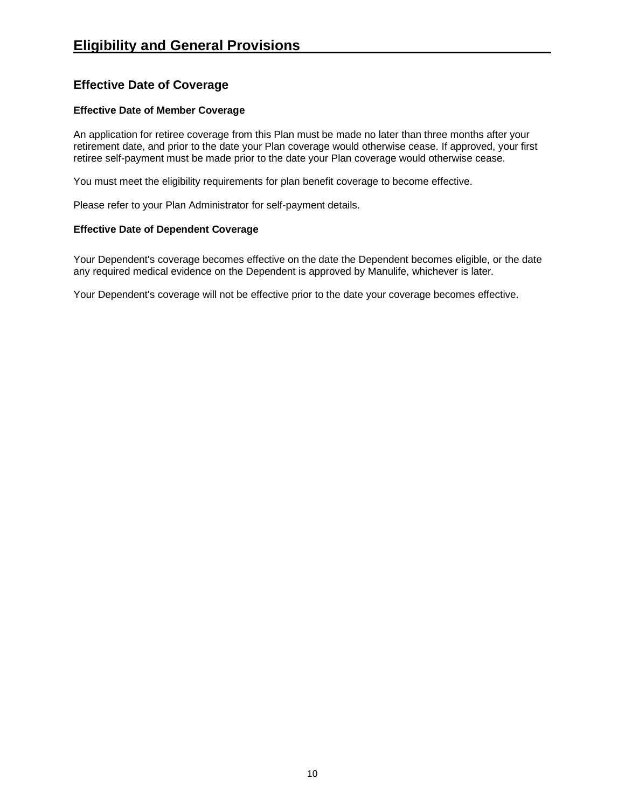## <span id="page-9-0"></span>**Effective Date of Coverage**

#### **Effective Date of Member Coverage**

An application for retiree coverage from this Plan must be made no later than three months after your retirement date, and prior to the date your Plan coverage would otherwise cease. If approved, your first retiree self-payment must be made prior to the date your Plan coverage would otherwise cease.

You must meet the eligibility requirements for plan benefit coverage to become effective.

Please refer to your Plan Administrator for self-payment details.

#### **Effective Date of Dependent Coverage**

Your Dependent's coverage becomes effective on the date the Dependent becomes eligible, or the date any required medical evidence on the Dependent is approved by Manulife, whichever is later.

Your Dependent's coverage will not be effective prior to the date your coverage becomes effective.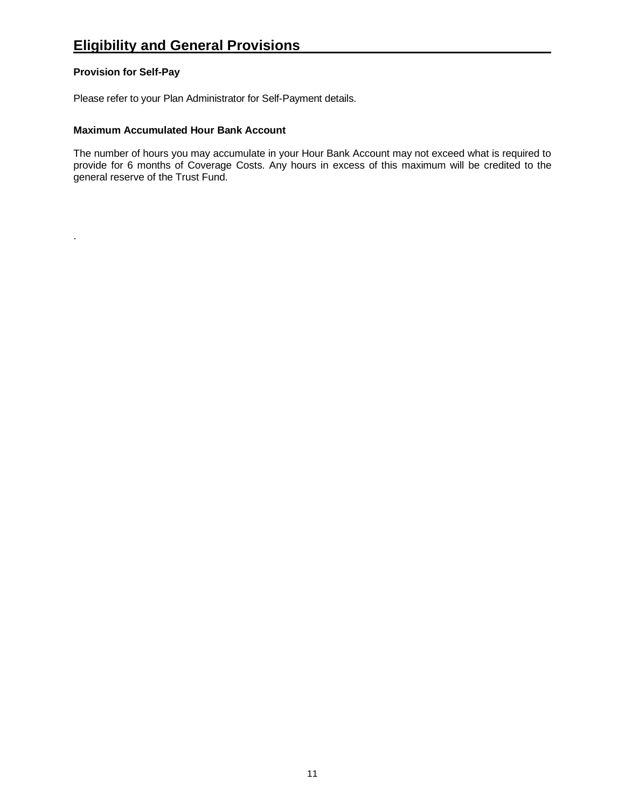#### <span id="page-10-0"></span>**Provision for Self-Pay**

.

Please refer to your Plan Administrator for Self-Payment details.

#### **Maximum Accumulated Hour Bank Account**

The number of hours you may accumulate in your Hour Bank Account may not exceed what is required to provide for 6 months of Coverage Costs. Any hours in excess of this maximum will be credited to the general reserve of the Trust Fund.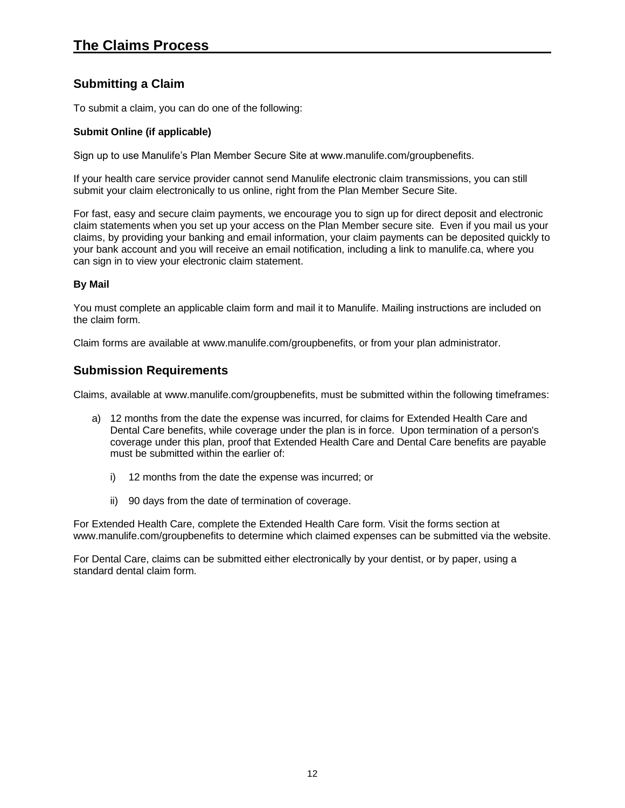## <span id="page-11-1"></span><span id="page-11-0"></span>**Submitting a Claim**

To submit a claim, you can do one of the following:

#### **Submit Online (if applicable)**

Sign up to use Manulife's Plan Member Secure Site at www.manulife.com/groupbenefits.

If your health care service provider cannot send Manulife electronic claim transmissions, you can still submit your claim electronically to us online, right from the Plan Member Secure Site.

For fast, easy and secure claim payments, we encourage you to sign up for direct deposit and electronic claim statements when you set up your access on the Plan Member secure site. Even if you mail us your claims, by providing your banking and email information, your claim payments can be deposited quickly to your bank account and you will receive an email notification, including a link to manulife.ca, where you can sign in to view your electronic claim statement.

#### **By Mail**

You must complete an applicable claim form and mail it to Manulife. Mailing instructions are included on the claim form.

Claim forms are available at www.manulife.com/groupbenefits, or from your plan administrator.

## <span id="page-11-2"></span>**Submission Requirements**

Claims, available at www.manulife.com/groupbenefits, must be submitted within the following timeframes:

- a) 12 months from the date the expense was incurred, for claims for Extended Health Care and Dental Care benefits, while coverage under the plan is in force. Upon termination of a person's coverage under this plan, proof that Extended Health Care and Dental Care benefits are payable must be submitted within the earlier of:
	- i) 12 months from the date the expense was incurred; or
	- ii) 90 days from the date of termination of coverage.

For Extended Health Care, complete the Extended Health Care form. Visit the forms section at www.manulife.com/groupbenefits to determine which claimed expenses can be submitted via the website.

For Dental Care, claims can be submitted either electronically by your dentist, or by paper, using a standard dental claim form.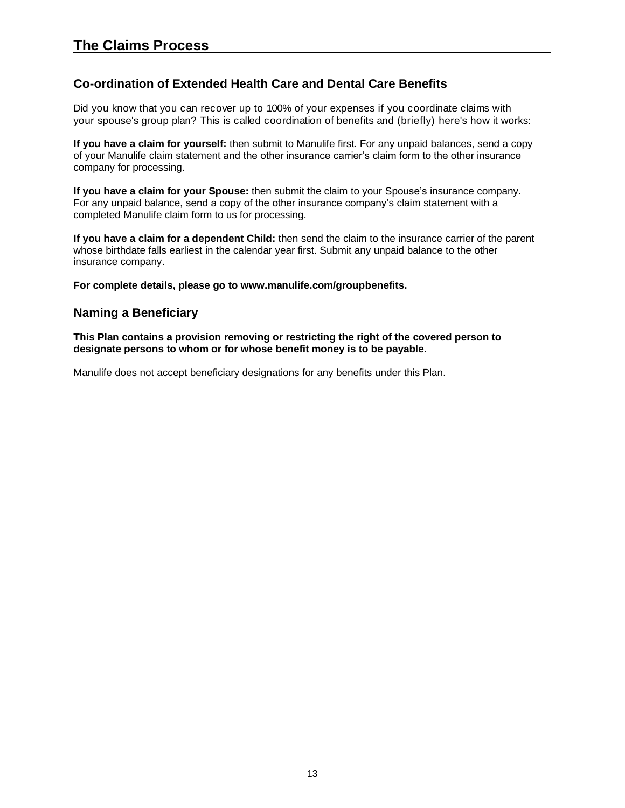## <span id="page-12-0"></span>**Co-ordination of Extended Health Care and Dental Care Benefits**

Did you know that you can recover up to 100% of your expenses if you coordinate claims with your spouse's group plan? This is called coordination of benefits and (briefly) here's how it works:

**If you have a claim for yourself:** then submit to Manulife first. For any unpaid balances, send a copy of your Manulife claim statement and the other insurance carrier's claim form to the other insurance company for processing.

**If you have a claim for your Spouse:** then submit the claim to your Spouse's insurance company. For any unpaid balance, send a copy of the other insurance company's claim statement with a completed Manulife claim form to us for processing.

**If you have a claim for a dependent Child:** then send the claim to the insurance carrier of the parent whose birthdate falls earliest in the calendar year first. Submit any unpaid balance to the other insurance company.

**For complete details, please go to www.manulife.com/groupbenefits.**

## **Naming a Beneficiary**

**This Plan contains a provision removing or restricting the right of the covered person to designate persons to whom or for whose benefit money is to be payable.**

Manulife does not accept beneficiary designations for any benefits under this Plan.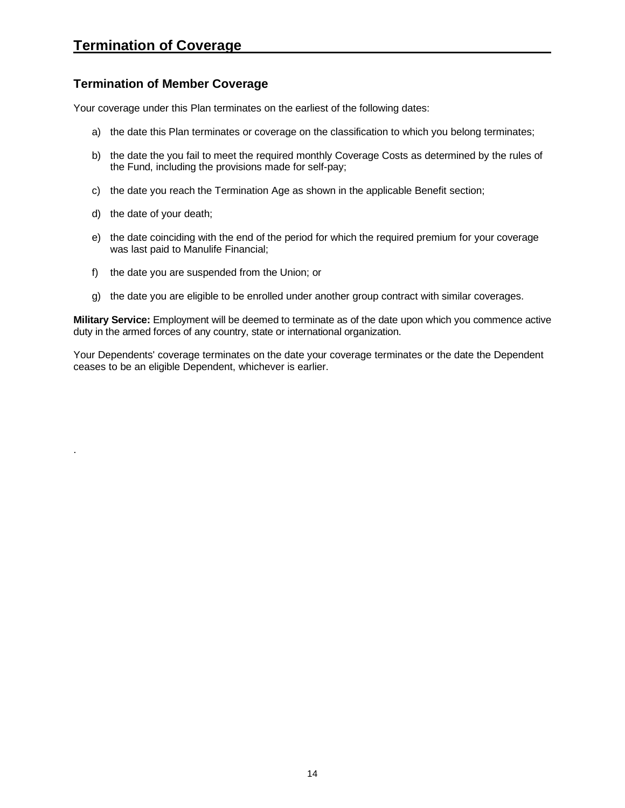## <span id="page-13-0"></span>**Termination of Member Coverage**

Your coverage under this Plan terminates on the earliest of the following dates:

- a) the date this Plan terminates or coverage on the classification to which you belong terminates;
- b) the date the you fail to meet the required monthly Coverage Costs as determined by the rules of the Fund, including the provisions made for self-pay;
- c) the date you reach the Termination Age as shown in the applicable Benefit section;
- d) the date of your death;

.

- e) the date coinciding with the end of the period for which the required premium for your coverage was last paid to Manulife Financial;
- f) the date you are suspended from the Union; or
- g) the date you are eligible to be enrolled under another group contract with similar coverages.

**Military Service:** Employment will be deemed to terminate as of the date upon which you commence active duty in the armed forces of any country, state or international organization.

Your Dependents' coverage terminates on the date your coverage terminates or the date the Dependent ceases to be an eligible Dependent, whichever is earlier.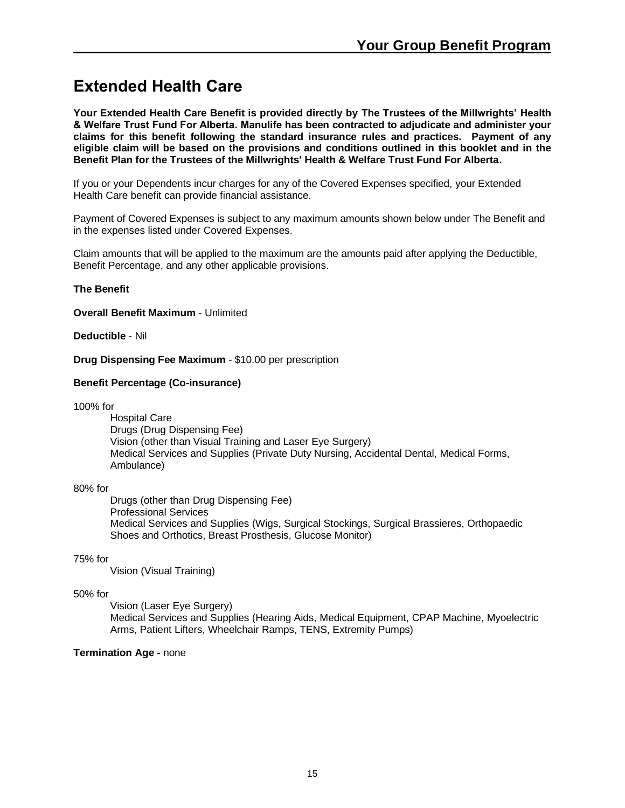## <span id="page-14-1"></span><span id="page-14-0"></span>**Extended Health Care**

**Your Extended Health Care Benefit is provided directly by The Trustees of the Millwrights' Health & Welfare Trust Fund For Alberta. Manulife has been contracted to adjudicate and administer your claims for this benefit following the standard insurance rules and practices. Payment of any eligible claim will be based on the provisions and conditions outlined in this booklet and in the Benefit Plan for the Trustees of the Millwrights' Health & Welfare Trust Fund For Alberta.**

If you or your Dependents incur charges for any of the Covered Expenses specified, your Extended Health Care benefit can provide financial assistance.

Payment of Covered Expenses is subject to any maximum amounts shown below under The Benefit and in the expenses listed under Covered Expenses.

Claim amounts that will be applied to the maximum are the amounts paid after applying the Deductible, Benefit Percentage, and any other applicable provisions.

#### **The Benefit**

**Overall Benefit Maximum** - Unlimited

**Deductible** - Nil

**Drug Dispensing Fee Maximum** - \$10.00 per prescription

#### **Benefit Percentage (Co-insurance)**

100% for

Hospital Care Drugs (Drug Dispensing Fee) Vision (other than Visual Training and Laser Eye Surgery) Medical Services and Supplies (Private Duty Nursing, Accidental Dental, Medical Forms, Ambulance)

#### 80% for

Drugs (other than Drug Dispensing Fee) Professional Services Medical Services and Supplies (Wigs, Surgical Stockings, Surgical Brassieres, Orthopaedic Shoes and Orthotics, Breast Prosthesis, Glucose Monitor)

#### 75% for

Vision (Visual Training)

#### 50% for

Vision (Laser Eye Surgery) Medical Services and Supplies (Hearing Aids, Medical Equipment, CPAP Machine, Myoelectric Arms, Patient Lifters, Wheelchair Ramps, TENS, Extremity Pumps)

#### **Termination Age -** none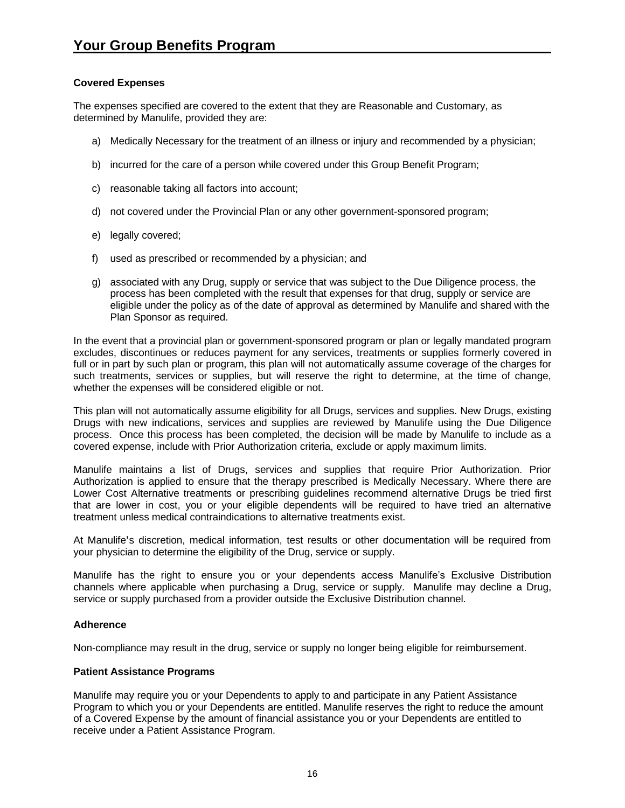#### **Covered Expenses**

The expenses specified are covered to the extent that they are Reasonable and Customary, as determined by Manulife, provided they are:

- a) Medically Necessary for the treatment of an illness or injury and recommended by a physician;
- b) incurred for the care of a person while covered under this Group Benefit Program;
- c) reasonable taking all factors into account;
- d) not covered under the Provincial Plan or any other government-sponsored program;
- e) legally covered;
- f) used as prescribed or recommended by a physician; and
- g) associated with any Drug, supply or service that was subject to the Due Diligence process, the process has been completed with the result that expenses for that drug, supply or service are eligible under the policy as of the date of approval as determined by Manulife and shared with the Plan Sponsor as required.

In the event that a provincial plan or government-sponsored program or plan or legally mandated program excludes, discontinues or reduces payment for any services, treatments or supplies formerly covered in full or in part by such plan or program, this plan will not automatically assume coverage of the charges for such treatments, services or supplies, but will reserve the right to determine, at the time of change, whether the expenses will be considered eligible or not.

This plan will not automatically assume eligibility for all Drugs, services and supplies. New Drugs, existing Drugs with new indications, services and supplies are reviewed by Manulife using the Due Diligence process. Once this process has been completed, the decision will be made by Manulife to include as a covered expense, include with Prior Authorization criteria, exclude or apply maximum limits.

Manulife maintains a list of Drugs, services and supplies that require Prior Authorization. Prior Authorization is applied to ensure that the therapy prescribed is Medically Necessary. Where there are Lower Cost Alternative treatments or prescribing guidelines recommend alternative Drugs be tried first that are lower in cost, you or your eligible dependents will be required to have tried an alternative treatment unless medical contraindications to alternative treatments exist.

At Manulife**'**s discretion, medical information, test results or other documentation will be required from your physician to determine the eligibility of the Drug, service or supply.

Manulife has the right to ensure you or your dependents access Manulife's Exclusive Distribution channels where applicable when purchasing a Drug, service or supply. Manulife may decline a Drug, service or supply purchased from a provider outside the Exclusive Distribution channel.

#### **Adherence**

Non-compliance may result in the drug, service or supply no longer being eligible for reimbursement.

#### **Patient Assistance Programs**

Manulife may require you or your Dependents to apply to and participate in any Patient Assistance Program to which you or your Dependents are entitled. Manulife reserves the right to reduce the amount of a Covered Expense by the amount of financial assistance you or your Dependents are entitled to receive under a Patient Assistance Program.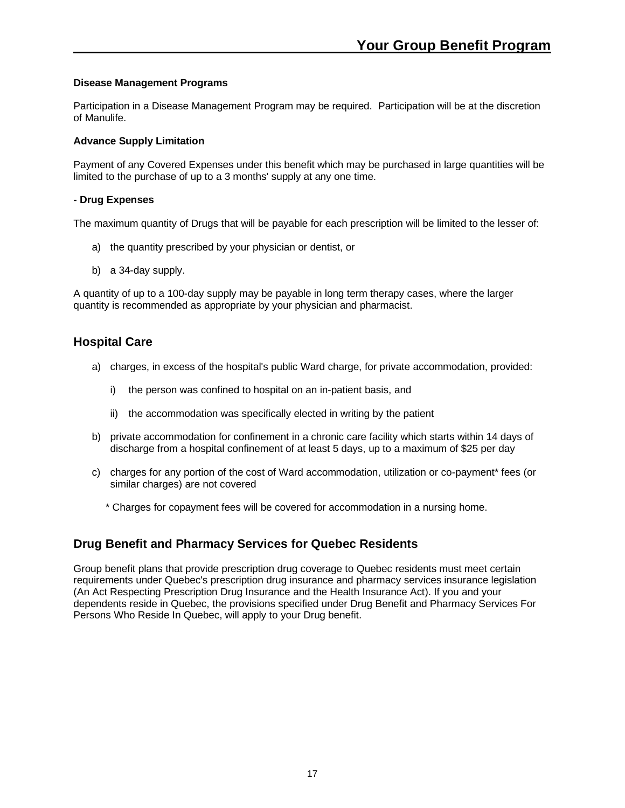#### **Disease Management Programs**

Participation in a Disease Management Program may be required. Participation will be at the discretion of Manulife.

#### **Advance Supply Limitation**

Payment of any Covered Expenses under this benefit which may be purchased in large quantities will be limited to the purchase of up to a 3 months' supply at any one time.

#### **- Drug Expenses**

The maximum quantity of Drugs that will be payable for each prescription will be limited to the lesser of:

- a) the quantity prescribed by your physician or dentist, or
- b) a 34-day supply.

A quantity of up to a 100-day supply may be payable in long term therapy cases, where the larger quantity is recommended as appropriate by your physician and pharmacist.

## **Hospital Care**

- a) charges, in excess of the hospital's public Ward charge, for private accommodation, provided:
	- i) the person was confined to hospital on an in-patient basis, and
	- ii) the accommodation was specifically elected in writing by the patient
- b) private accommodation for confinement in a chronic care facility which starts within 14 days of discharge from a hospital confinement of at least 5 days, up to a maximum of \$25 per day
- c) charges for any portion of the cost of Ward accommodation, utilization or co-payment\* fees (or similar charges) are not covered

\* Charges for copayment fees will be covered for accommodation in a nursing home.

## **Drug Benefit and Pharmacy Services for Quebec Residents**

Group benefit plans that provide prescription drug coverage to Quebec residents must meet certain requirements under Quebec's prescription drug insurance and pharmacy services insurance legislation (An Act Respecting Prescription Drug Insurance and the Health Insurance Act). If you and your dependents reside in Quebec, the provisions specified under Drug Benefit and Pharmacy Services For Persons Who Reside In Quebec, will apply to your Drug benefit.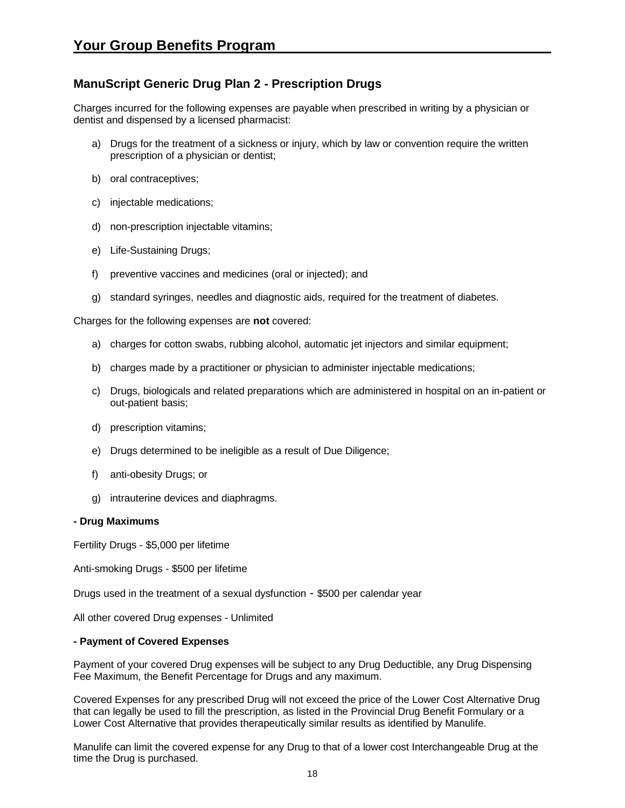## **ManuScript Generic Drug Plan 2 - Prescription Drugs**

Charges incurred for the following expenses are payable when prescribed in writing by a physician or dentist and dispensed by a licensed pharmacist:

- a) Drugs for the treatment of a sickness or injury, which by law or convention require the written prescription of a physician or dentist;
- b) oral contraceptives;
- c) injectable medications;
- d) non-prescription injectable vitamins;
- e) Life-Sustaining Drugs;
- f) preventive vaccines and medicines (oral or injected); and
- g) standard syringes, needles and diagnostic aids, required for the treatment of diabetes.

Charges for the following expenses are **not** covered:

- a) charges for cotton swabs, rubbing alcohol, automatic jet injectors and similar equipment;
- b) charges made by a practitioner or physician to administer injectable medications;
- c) Drugs, biologicals and related preparations which are administered in hospital on an in-patient or out-patient basis;
- d) prescription vitamins;
- e) Drugs determined to be ineligible as a result of Due Diligence;
- f) anti-obesity Drugs; or
- g) intrauterine devices and diaphragms.

#### **- Drug Maximums**

Fertility Drugs - \$5,000 per lifetime

Anti-smoking Drugs - \$500 per lifetime

Drugs used in the treatment of a sexual dysfunction - \$500 per calendar year

All other covered Drug expenses - Unlimited

#### **- Payment of Covered Expenses**

Payment of your covered Drug expenses will be subject to any Drug Deductible, any Drug Dispensing Fee Maximum, the Benefit Percentage for Drugs and any maximum.

Covered Expenses for any prescribed Drug will not exceed the price of the Lower Cost Alternative Drug that can legally be used to fill the prescription, as listed in the Provincial Drug Benefit Formulary or a Lower Cost Alternative that provides therapeutically similar results as identified by Manulife.

Manulife can limit the covered expense for any Drug to that of a lower cost Interchangeable Drug at the time the Drug is purchased.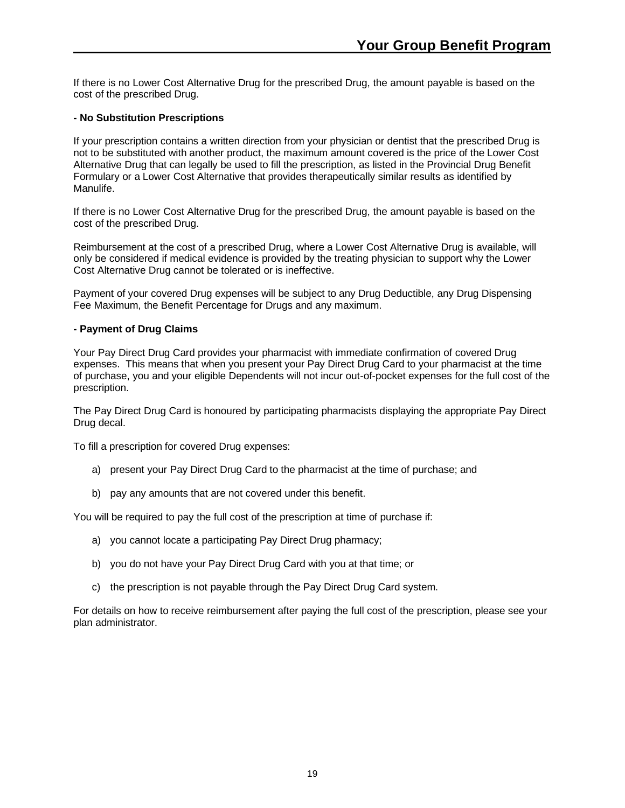If there is no Lower Cost Alternative Drug for the prescribed Drug, the amount payable is based on the cost of the prescribed Drug.

#### **- No Substitution Prescriptions**

If your prescription contains a written direction from your physician or dentist that the prescribed Drug is not to be substituted with another product, the maximum amount covered is the price of the Lower Cost Alternative Drug that can legally be used to fill the prescription, as listed in the Provincial Drug Benefit Formulary or a Lower Cost Alternative that provides therapeutically similar results as identified by Manulife.

If there is no Lower Cost Alternative Drug for the prescribed Drug, the amount payable is based on the cost of the prescribed Drug.

Reimbursement at the cost of a prescribed Drug, where a Lower Cost Alternative Drug is available, will only be considered if medical evidence is provided by the treating physician to support why the Lower Cost Alternative Drug cannot be tolerated or is ineffective.

Payment of your covered Drug expenses will be subject to any Drug Deductible, any Drug Dispensing Fee Maximum, the Benefit Percentage for Drugs and any maximum.

#### **- Payment of Drug Claims**

Your Pay Direct Drug Card provides your pharmacist with immediate confirmation of covered Drug expenses. This means that when you present your Pay Direct Drug Card to your pharmacist at the time of purchase, you and your eligible Dependents will not incur out-of-pocket expenses for the full cost of the prescription.

The Pay Direct Drug Card is honoured by participating pharmacists displaying the appropriate Pay Direct Drug decal.

To fill a prescription for covered Drug expenses:

- a) present your Pay Direct Drug Card to the pharmacist at the time of purchase; and
- b) pay any amounts that are not covered under this benefit.

You will be required to pay the full cost of the prescription at time of purchase if:

- a) you cannot locate a participating Pay Direct Drug pharmacy;
- b) you do not have your Pay Direct Drug Card with you at that time; or
- c) the prescription is not payable through the Pay Direct Drug Card system.

For details on how to receive reimbursement after paying the full cost of the prescription, please see your plan administrator.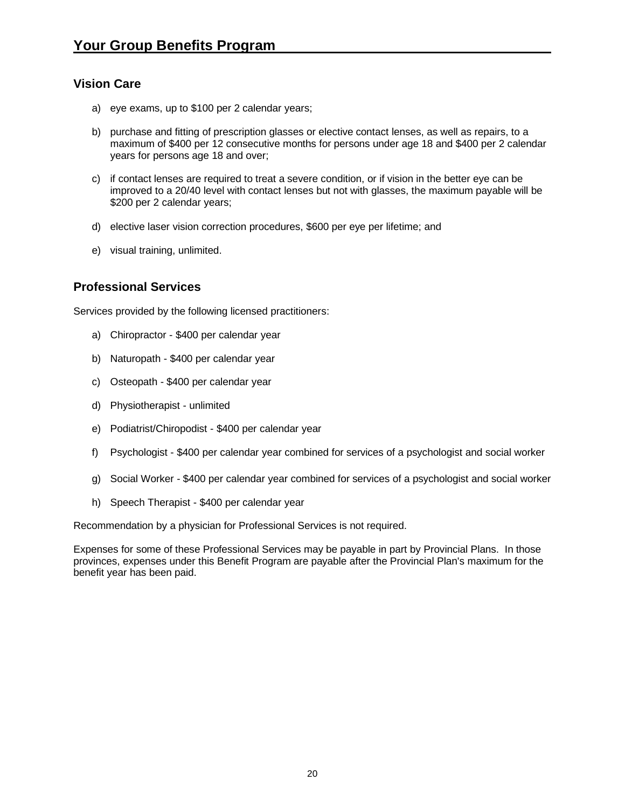## **Vision Care**

- a) eye exams, up to \$100 per 2 calendar years;
- b) purchase and fitting of prescription glasses or elective contact lenses, as well as repairs, to a maximum of \$400 per 12 consecutive months for persons under age 18 and \$400 per 2 calendar years for persons age 18 and over;
- c) if contact lenses are required to treat a severe condition, or if vision in the better eye can be improved to a 20/40 level with contact lenses but not with glasses, the maximum payable will be \$200 per 2 calendar years;
- d) elective laser vision correction procedures, \$600 per eye per lifetime; and
- e) visual training, unlimited.

## **Professional Services**

Services provided by the following licensed practitioners:

- a) Chiropractor \$400 per calendar year
- b) Naturopath \$400 per calendar year
- c) Osteopath \$400 per calendar year
- d) Physiotherapist unlimited
- e) Podiatrist/Chiropodist \$400 per calendar year
- f) Psychologist \$400 per calendar year combined for services of a psychologist and social worker
- g) Social Worker \$400 per calendar year combined for services of a psychologist and social worker
- h) Speech Therapist \$400 per calendar year

Recommendation by a physician for Professional Services is not required.

Expenses for some of these Professional Services may be payable in part by Provincial Plans. In those provinces, expenses under this Benefit Program are payable after the Provincial Plan's maximum for the benefit year has been paid.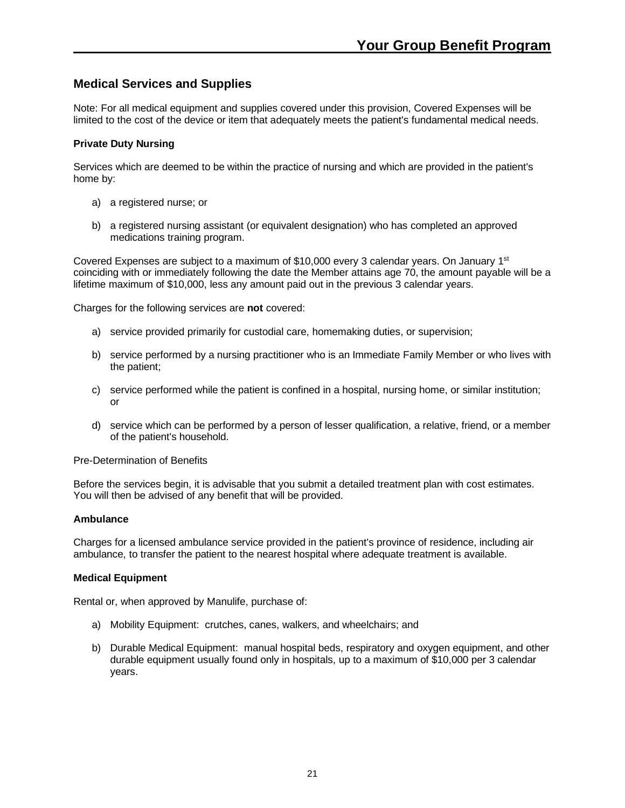## **Medical Services and Supplies**

Note: For all medical equipment and supplies covered under this provision, Covered Expenses will be limited to the cost of the device or item that adequately meets the patient's fundamental medical needs.

#### **Private Duty Nursing**

Services which are deemed to be within the practice of nursing and which are provided in the patient's home by:

- a) a registered nurse; or
- b) a registered nursing assistant (or equivalent designation) who has completed an approved medications training program.

Covered Expenses are subject to a maximum of \$10,000 every 3 calendar years. On January 1<sup>st</sup> coinciding with or immediately following the date the Member attains age 70, the amount payable will be a lifetime maximum of \$10,000, less any amount paid out in the previous 3 calendar years.

Charges for the following services are **not** covered:

- a) service provided primarily for custodial care, homemaking duties, or supervision;
- b) service performed by a nursing practitioner who is an Immediate Family Member or who lives with the patient;
- c) service performed while the patient is confined in a hospital, nursing home, or similar institution; or
- d) service which can be performed by a person of lesser qualification, a relative, friend, or a member of the patient's household.

Pre-Determination of Benefits

Before the services begin, it is advisable that you submit a detailed treatment plan with cost estimates. You will then be advised of any benefit that will be provided.

#### **Ambulance**

Charges for a licensed ambulance service provided in the patient's province of residence, including air ambulance, to transfer the patient to the nearest hospital where adequate treatment is available.

#### **Medical Equipment**

Rental or, when approved by Manulife, purchase of:

- a) Mobility Equipment: crutches, canes, walkers, and wheelchairs; and
- b) Durable Medical Equipment: manual hospital beds, respiratory and oxygen equipment, and other durable equipment usually found only in hospitals, up to a maximum of \$10,000 per 3 calendar years.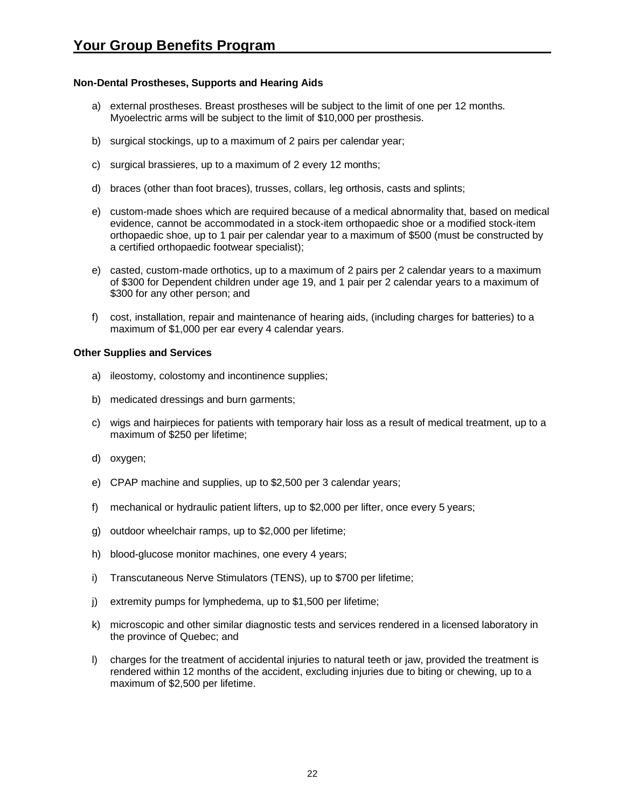#### **Non-Dental Prostheses, Supports and Hearing Aids**

- a) external prostheses. Breast prostheses will be subject to the limit of one per 12 months. Myoelectric arms will be subject to the limit of \$10,000 per prosthesis.
- b) surgical stockings, up to a maximum of 2 pairs per calendar year;
- c) surgical brassieres, up to a maximum of 2 every 12 months;
- d) braces (other than foot braces), trusses, collars, leg orthosis, casts and splints;
- e) custom-made shoes which are required because of a medical abnormality that, based on medical evidence, cannot be accommodated in a stock-item orthopaedic shoe or a modified stock-item orthopaedic shoe, up to 1 pair per calendar year to a maximum of \$500 (must be constructed by a certified orthopaedic footwear specialist);
- e) casted, custom-made orthotics, up to a maximum of 2 pairs per 2 calendar years to a maximum of \$300 for Dependent children under age 19, and 1 pair per 2 calendar years to a maximum of \$300 for any other person; and
- f) cost, installation, repair and maintenance of hearing aids, (including charges for batteries) to a maximum of \$1,000 per ear every 4 calendar years.

#### **Other Supplies and Services**

- a) ileostomy, colostomy and incontinence supplies;
- b) medicated dressings and burn garments;
- c) wigs and hairpieces for patients with temporary hair loss as a result of medical treatment, up to a maximum of \$250 per lifetime;
- d) oxygen;
- e) CPAP machine and supplies, up to \$2,500 per 3 calendar years;
- f) mechanical or hydraulic patient lifters, up to \$2,000 per lifter, once every 5 years;
- g) outdoor wheelchair ramps, up to \$2,000 per lifetime;
- h) blood-glucose monitor machines, one every 4 years;
- i) Transcutaneous Nerve Stimulators (TENS), up to \$700 per lifetime;
- j) extremity pumps for lymphedema, up to \$1,500 per lifetime;
- k) microscopic and other similar diagnostic tests and services rendered in a licensed laboratory in the province of Quebec; and
- l) charges for the treatment of accidental injuries to natural teeth or jaw, provided the treatment is rendered within 12 months of the accident, excluding injuries due to biting or chewing, up to a maximum of \$2,500 per lifetime.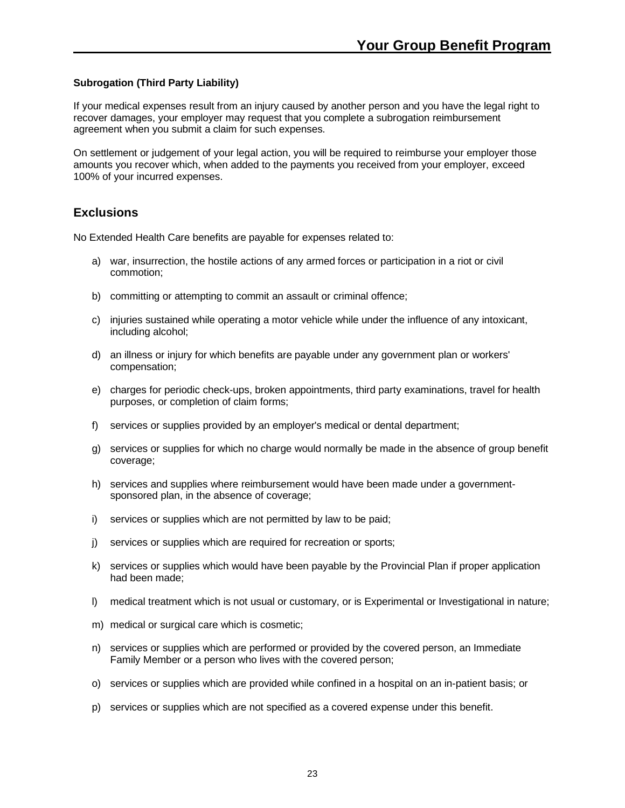#### **Subrogation (Third Party Liability)**

If your medical expenses result from an injury caused by another person and you have the legal right to recover damages, your employer may request that you complete a subrogation reimbursement agreement when you submit a claim for such expenses.

On settlement or judgement of your legal action, you will be required to reimburse your employer those amounts you recover which, when added to the payments you received from your employer, exceed 100% of your incurred expenses.

## **Exclusions**

No Extended Health Care benefits are payable for expenses related to:

- a) war, insurrection, the hostile actions of any armed forces or participation in a riot or civil commotion;
- b) committing or attempting to commit an assault or criminal offence;
- c) injuries sustained while operating a motor vehicle while under the influence of any intoxicant, including alcohol;
- d) an illness or injury for which benefits are payable under any government plan or workers' compensation;
- e) charges for periodic check-ups, broken appointments, third party examinations, travel for health purposes, or completion of claim forms;
- f) services or supplies provided by an employer's medical or dental department;
- g) services or supplies for which no charge would normally be made in the absence of group benefit coverage;
- h) services and supplies where reimbursement would have been made under a governmentsponsored plan, in the absence of coverage;
- i) services or supplies which are not permitted by law to be paid;
- j) services or supplies which are required for recreation or sports;
- k) services or supplies which would have been payable by the Provincial Plan if proper application had been made;
- l) medical treatment which is not usual or customary, or is Experimental or Investigational in nature;
- m) medical or surgical care which is cosmetic;
- n) services or supplies which are performed or provided by the covered person, an Immediate Family Member or a person who lives with the covered person;
- o) services or supplies which are provided while confined in a hospital on an in-patient basis; or
- p) services or supplies which are not specified as a covered expense under this benefit.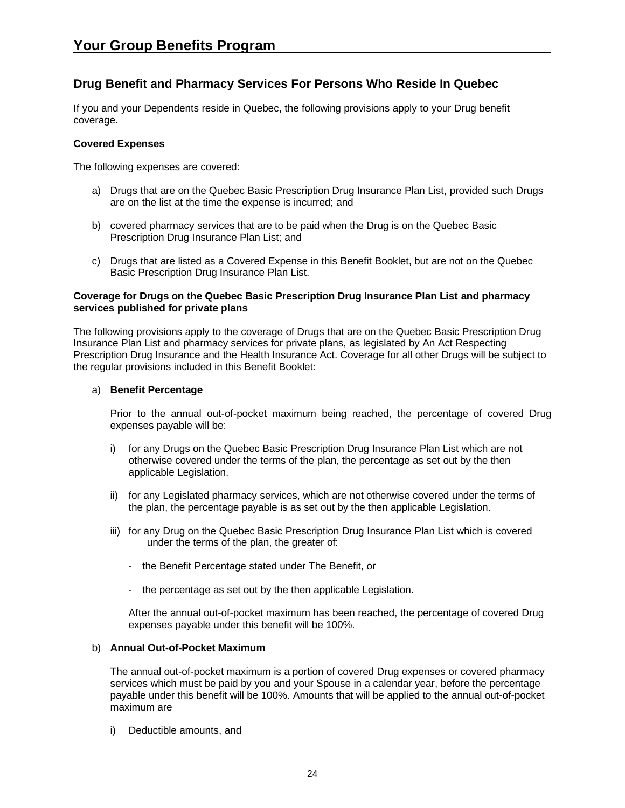## **Drug Benefit and Pharmacy Services For Persons Who Reside In Quebec**

If you and your Dependents reside in Quebec, the following provisions apply to your Drug benefit coverage.

#### **Covered Expenses**

The following expenses are covered:

- a) Drugs that are on the Quebec Basic Prescription Drug Insurance Plan List, provided such Drugs are on the list at the time the expense is incurred; and
- b) covered pharmacy services that are to be paid when the Drug is on the Quebec Basic Prescription Drug Insurance Plan List; and
- c) Drugs that are listed as a Covered Expense in this Benefit Booklet, but are not on the Quebec Basic Prescription Drug Insurance Plan List.

#### **Coverage for Drugs on the Quebec Basic Prescription Drug Insurance Plan List and pharmacy services published for private plans**

The following provisions apply to the coverage of Drugs that are on the Quebec Basic Prescription Drug Insurance Plan List and pharmacy services for private plans, as legislated by An Act Respecting Prescription Drug Insurance and the Health Insurance Act. Coverage for all other Drugs will be subject to the regular provisions included in this Benefit Booklet:

#### a) **Benefit Percentage**

Prior to the annual out-of-pocket maximum being reached, the percentage of covered Drug expenses payable will be:

- i) for any Drugs on the Quebec Basic Prescription Drug Insurance Plan List which are not otherwise covered under the terms of the plan, the percentage as set out by the then applicable Legislation.
- ii) for any Legislated pharmacy services, which are not otherwise covered under the terms of the plan, the percentage payable is as set out by the then applicable Legislation.
- iii) for any Drug on the Quebec Basic Prescription Drug Insurance Plan List which is covered under the terms of the plan, the greater of:
	- the Benefit Percentage stated under The Benefit, or
	- the percentage as set out by the then applicable Legislation.

After the annual out-of-pocket maximum has been reached, the percentage of covered Drug expenses payable under this benefit will be 100%.

#### b) **Annual Out-of-Pocket Maximum**

The annual out-of-pocket maximum is a portion of covered Drug expenses or covered pharmacy services which must be paid by you and your Spouse in a calendar year, before the percentage payable under this benefit will be 100%. Amounts that will be applied to the annual out-of-pocket maximum are

i) Deductible amounts, and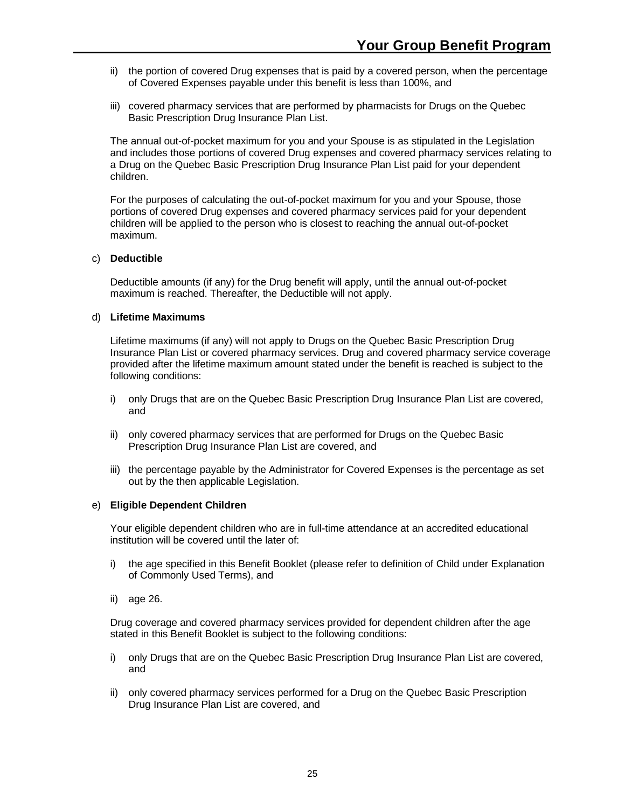- ii) the portion of covered Drug expenses that is paid by a covered person, when the percentage of Covered Expenses payable under this benefit is less than 100%, and
- iii) covered pharmacy services that are performed by pharmacists for Drugs on the Quebec Basic Prescription Drug Insurance Plan List.

The annual out-of-pocket maximum for you and your Spouse is as stipulated in the Legislation and includes those portions of covered Drug expenses and covered pharmacy services relating to a Drug on the Quebec Basic Prescription Drug Insurance Plan List paid for your dependent children.

For the purposes of calculating the out-of-pocket maximum for you and your Spouse, those portions of covered Drug expenses and covered pharmacy services paid for your dependent children will be applied to the person who is closest to reaching the annual out-of-pocket maximum.

#### c) **Deductible**

Deductible amounts (if any) for the Drug benefit will apply, until the annual out-of-pocket maximum is reached. Thereafter, the Deductible will not apply.

#### d) **Lifetime Maximums**

Lifetime maximums (if any) will not apply to Drugs on the Quebec Basic Prescription Drug Insurance Plan List or covered pharmacy services. Drug and covered pharmacy service coverage provided after the lifetime maximum amount stated under the benefit is reached is subject to the following conditions:

- i) only Drugs that are on the Quebec Basic Prescription Drug Insurance Plan List are covered, and
- ii) only covered pharmacy services that are performed for Drugs on the Quebec Basic Prescription Drug Insurance Plan List are covered, and
- iii) the percentage payable by the Administrator for Covered Expenses is the percentage as set out by the then applicable Legislation.

#### e) **Eligible Dependent Children**

Your eligible dependent children who are in full-time attendance at an accredited educational institution will be covered until the later of:

- i) the age specified in this Benefit Booklet (please refer to definition of Child under Explanation of Commonly Used Terms), and
- ii) age 26.

Drug coverage and covered pharmacy services provided for dependent children after the age stated in this Benefit Booklet is subject to the following conditions:

- i) only Drugs that are on the Quebec Basic Prescription Drug Insurance Plan List are covered, and
- ii) only covered pharmacy services performed for a Drug on the Quebec Basic Prescription Drug Insurance Plan List are covered, and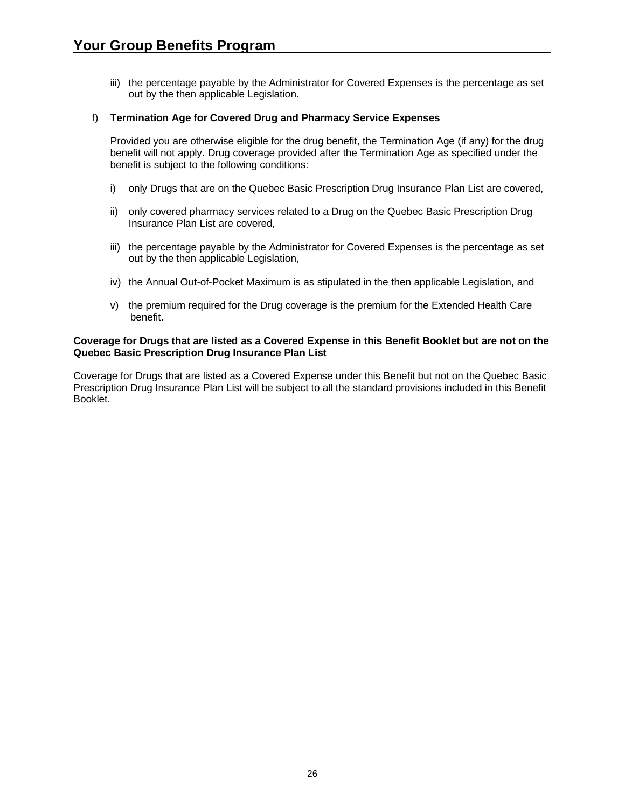iii) the percentage payable by the Administrator for Covered Expenses is the percentage as set out by the then applicable Legislation.

#### f) **Termination Age for Covered Drug and Pharmacy Service Expenses**

Provided you are otherwise eligible for the drug benefit, the Termination Age (if any) for the drug benefit will not apply. Drug coverage provided after the Termination Age as specified under the benefit is subject to the following conditions:

- i) only Drugs that are on the Quebec Basic Prescription Drug Insurance Plan List are covered,
- ii) only covered pharmacy services related to a Drug on the Quebec Basic Prescription Drug Insurance Plan List are covered,
- iii) the percentage payable by the Administrator for Covered Expenses is the percentage as set out by the then applicable Legislation,
- iv) the Annual Out-of-Pocket Maximum is as stipulated in the then applicable Legislation, and
- v) the premium required for the Drug coverage is the premium for the Extended Health Care benefit.

#### **Coverage for Drugs that are listed as a Covered Expense in this Benefit Booklet but are not on the Quebec Basic Prescription Drug Insurance Plan List**

Coverage for Drugs that are listed as a Covered Expense under this Benefit but not on the Quebec Basic Prescription Drug Insurance Plan List will be subject to all the standard provisions included in this Benefit Booklet.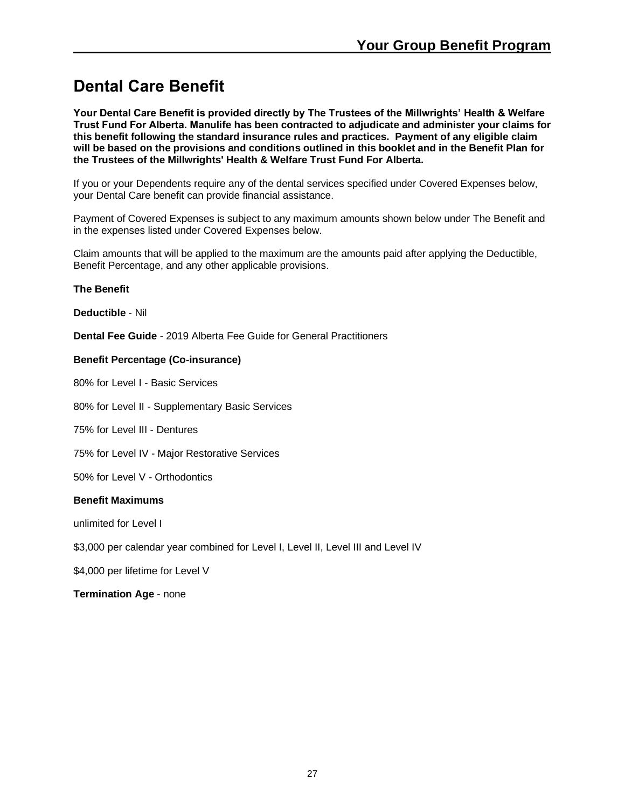## <span id="page-26-0"></span>**Dental Care Benefit**

**Your Dental Care Benefit is provided directly by The Trustees of the Millwrights' Health & Welfare Trust Fund For Alberta. Manulife has been contracted to adjudicate and administer your claims for this benefit following the standard insurance rules and practices. Payment of any eligible claim will be based on the provisions and conditions outlined in this booklet and in the Benefit Plan for the Trustees of the Millwrights' Health & Welfare Trust Fund For Alberta.**

If you or your Dependents require any of the dental services specified under Covered Expenses below, your Dental Care benefit can provide financial assistance.

Payment of Covered Expenses is subject to any maximum amounts shown below under The Benefit and in the expenses listed under Covered Expenses below.

Claim amounts that will be applied to the maximum are the amounts paid after applying the Deductible, Benefit Percentage, and any other applicable provisions.

#### **The Benefit**

**Deductible** - Nil

**Dental Fee Guide** - 2019 Alberta Fee Guide for General Practitioners

#### **Benefit Percentage (Co-insurance)**

80% for Level I - Basic Services

80% for Level II - Supplementary Basic Services

75% for Level III - Dentures

75% for Level IV - Major Restorative Services

50% for Level V - Orthodontics

#### **Benefit Maximums**

unlimited for Level I

\$3,000 per calendar year combined for Level I, Level II, Level III and Level IV

\$4,000 per lifetime for Level V

**Termination Age** - none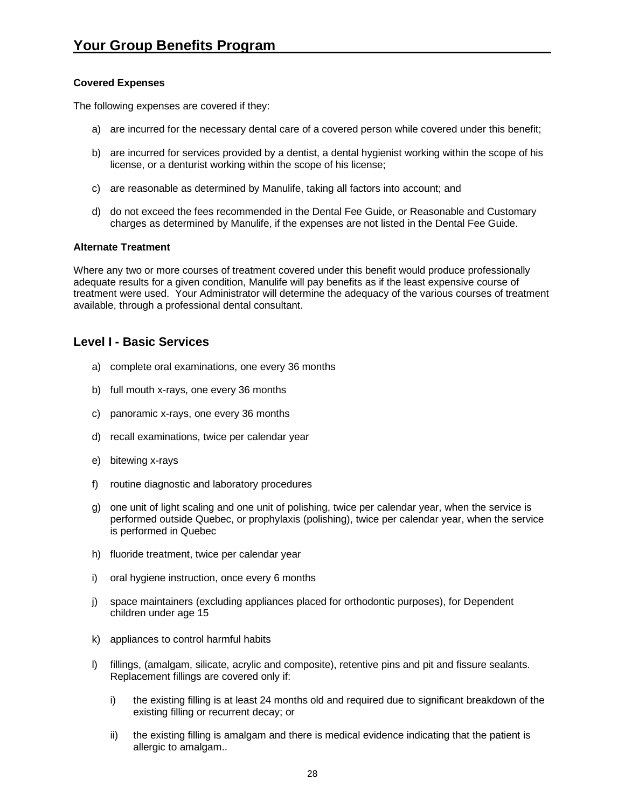#### **Covered Expenses**

The following expenses are covered if they:

- a) are incurred for the necessary dental care of a covered person while covered under this benefit;
- b) are incurred for services provided by a dentist, a dental hygienist working within the scope of his license, or a denturist working within the scope of his license;
- c) are reasonable as determined by Manulife, taking all factors into account; and
- d) do not exceed the fees recommended in the Dental Fee Guide, or Reasonable and Customary charges as determined by Manulife, if the expenses are not listed in the Dental Fee Guide.

#### **Alternate Treatment**

Where any two or more courses of treatment covered under this benefit would produce professionally adequate results for a given condition, Manulife will pay benefits as if the least expensive course of treatment were used. Your Administrator will determine the adequacy of the various courses of treatment available, through a professional dental consultant.

## **Level I - Basic Services**

- a) complete oral examinations, one every 36 months
- b) full mouth x-rays, one every 36 months
- c) panoramic x-rays, one every 36 months
- d) recall examinations, twice per calendar year
- e) bitewing x-rays
- f) routine diagnostic and laboratory procedures
- g) one unit of light scaling and one unit of polishing, twice per calendar year, when the service is performed outside Quebec, or prophylaxis (polishing), twice per calendar year, when the service is performed in Quebec
- h) fluoride treatment, twice per calendar year
- i) oral hygiene instruction, once every 6 months
- j) space maintainers (excluding appliances placed for orthodontic purposes), for Dependent children under age 15
- k) appliances to control harmful habits
- l) fillings, (amalgam, silicate, acrylic and composite), retentive pins and pit and fissure sealants. Replacement fillings are covered only if:
	- i) the existing filling is at least 24 months old and required due to significant breakdown of the existing filling or recurrent decay; or
	- ii) the existing filling is amalgam and there is medical evidence indicating that the patient is allergic to amalgam..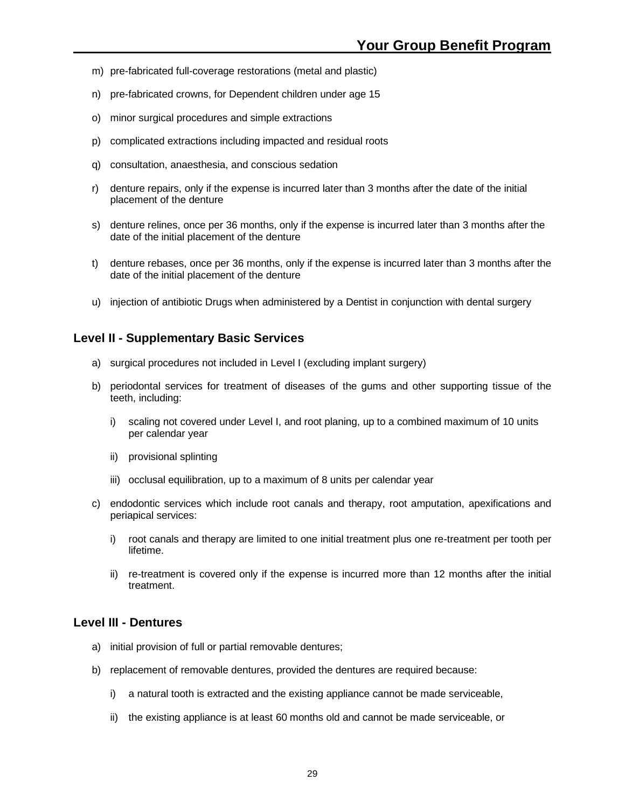- m) pre-fabricated full-coverage restorations (metal and plastic)
- n) pre-fabricated crowns, for Dependent children under age 15
- o) minor surgical procedures and simple extractions
- p) complicated extractions including impacted and residual roots
- q) consultation, anaesthesia, and conscious sedation
- r) denture repairs, only if the expense is incurred later than 3 months after the date of the initial placement of the denture
- s) denture relines, once per 36 months, only if the expense is incurred later than 3 months after the date of the initial placement of the denture
- t) denture rebases, once per 36 months, only if the expense is incurred later than 3 months after the date of the initial placement of the denture
- u) injection of antibiotic Drugs when administered by a Dentist in conjunction with dental surgery

### **Level II - Supplementary Basic Services**

- a) surgical procedures not included in Level I (excluding implant surgery)
- b) periodontal services for treatment of diseases of the gums and other supporting tissue of the teeth, including:
	- i) scaling not covered under Level I, and root planing, up to a combined maximum of 10 units per calendar year
	- ii) provisional splinting
	- iii) occlusal equilibration, up to a maximum of 8 units per calendar year
- c) endodontic services which include root canals and therapy, root amputation, apexifications and periapical services:
	- i) root canals and therapy are limited to one initial treatment plus one re-treatment per tooth per lifetime.
	- ii) re-treatment is covered only if the expense is incurred more than 12 months after the initial treatment.

### **Level III - Dentures**

- a) initial provision of full or partial removable dentures;
- b) replacement of removable dentures, provided the dentures are required because:
	- i) a natural tooth is extracted and the existing appliance cannot be made serviceable,
	- ii) the existing appliance is at least 60 months old and cannot be made serviceable, or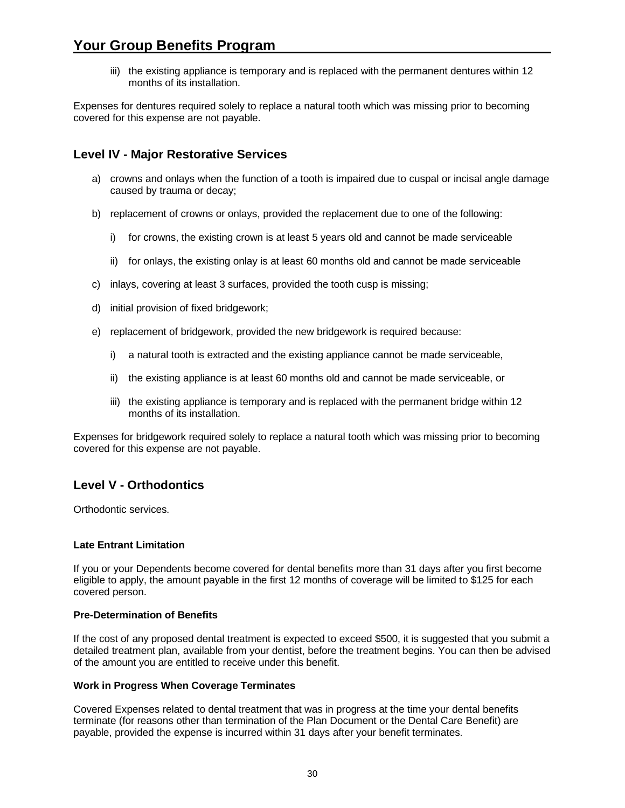## **Your Group Benefits Program**

iii) the existing appliance is temporary and is replaced with the permanent dentures within 12 months of its installation.

Expenses for dentures required solely to replace a natural tooth which was missing prior to becoming covered for this expense are not payable.

## **Level IV - Major Restorative Services**

- a) crowns and onlays when the function of a tooth is impaired due to cuspal or incisal angle damage caused by trauma or decay;
- b) replacement of crowns or onlays, provided the replacement due to one of the following:
	- i) for crowns, the existing crown is at least 5 years old and cannot be made serviceable
	- ii) for onlays, the existing onlay is at least 60 months old and cannot be made serviceable
- c) inlays, covering at least 3 surfaces, provided the tooth cusp is missing;
- d) initial provision of fixed bridgework;
- e) replacement of bridgework, provided the new bridgework is required because:
	- i) a natural tooth is extracted and the existing appliance cannot be made serviceable,
	- ii) the existing appliance is at least 60 months old and cannot be made serviceable, or
	- iii) the existing appliance is temporary and is replaced with the permanent bridge within 12 months of its installation.

Expenses for bridgework required solely to replace a natural tooth which was missing prior to becoming covered for this expense are not payable.

## **Level V - Orthodontics**

Orthodontic services.

#### **Late Entrant Limitation**

If you or your Dependents become covered for dental benefits more than 31 days after you first become eligible to apply, the amount payable in the first 12 months of coverage will be limited to \$125 for each covered person.

#### **Pre-Determination of Benefits**

If the cost of any proposed dental treatment is expected to exceed \$500, it is suggested that you submit a detailed treatment plan, available from your dentist, before the treatment begins. You can then be advised of the amount you are entitled to receive under this benefit.

#### **Work in Progress When Coverage Terminates**

Covered Expenses related to dental treatment that was in progress at the time your dental benefits terminate (for reasons other than termination of the Plan Document or the Dental Care Benefit) are payable, provided the expense is incurred within 31 days after your benefit terminates.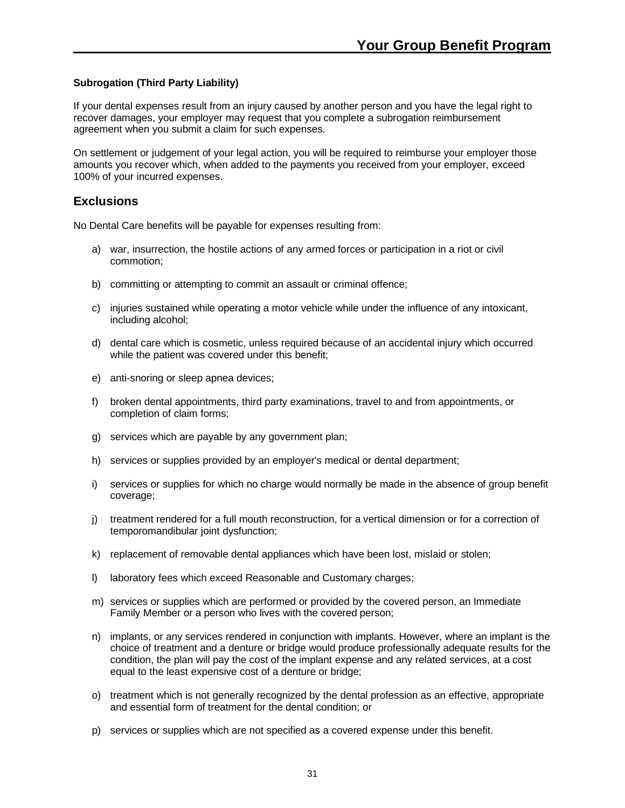#### **Subrogation (Third Party Liability)**

If your dental expenses result from an injury caused by another person and you have the legal right to recover damages, your employer may request that you complete a subrogation reimbursement agreement when you submit a claim for such expenses.

On settlement or judgement of your legal action, you will be required to reimburse your employer those amounts you recover which, when added to the payments you received from your employer, exceed 100% of your incurred expenses.

## **Exclusions**

No Dental Care benefits will be payable for expenses resulting from:

- a) war, insurrection, the hostile actions of any armed forces or participation in a riot or civil commotion;
- b) committing or attempting to commit an assault or criminal offence;
- c) injuries sustained while operating a motor vehicle while under the influence of any intoxicant, including alcohol;
- d) dental care which is cosmetic, unless required because of an accidental injury which occurred while the patient was covered under this benefit;
- e) anti-snoring or sleep apnea devices;
- f) broken dental appointments, third party examinations, travel to and from appointments, or completion of claim forms;
- g) services which are payable by any government plan;
- h) services or supplies provided by an employer's medical or dental department;
- i) services or supplies for which no charge would normally be made in the absence of group benefit coverage;
- j) treatment rendered for a full mouth reconstruction, for a vertical dimension or for a correction of temporomandibular joint dysfunction;
- k) replacement of removable dental appliances which have been lost, mislaid or stolen;
- l) laboratory fees which exceed Reasonable and Customary charges;
- m) services or supplies which are performed or provided by the covered person, an Immediate Family Member or a person who lives with the covered person;
- n) implants, or any services rendered in conjunction with implants. However, where an implant is the choice of treatment and a denture or bridge would produce professionally adequate results for the condition, the plan will pay the cost of the implant expense and any related services, at a cost equal to the least expensive cost of a denture or bridge;
- o) treatment which is not generally recognized by the dental profession as an effective, appropriate and essential form of treatment for the dental condition; or
- p) services or supplies which are not specified as a covered expense under this benefit.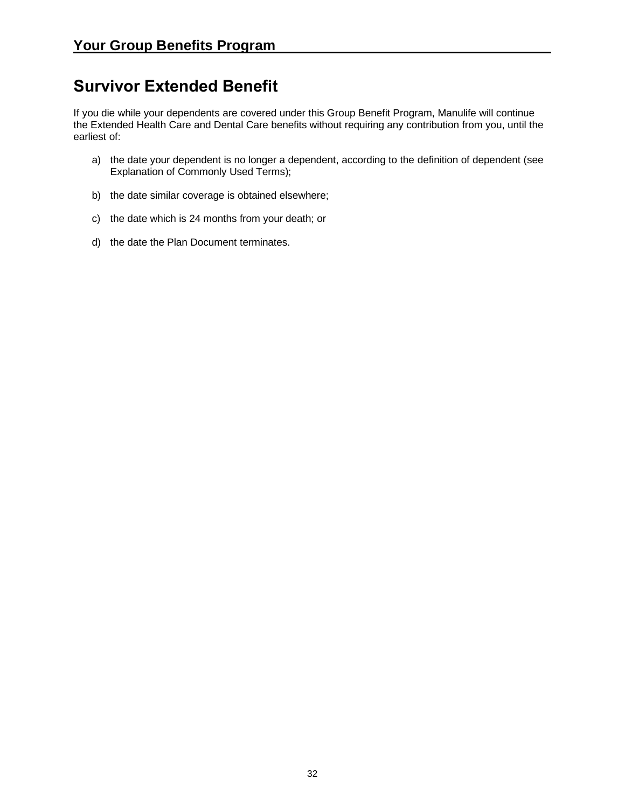## <span id="page-31-0"></span>**Survivor Extended Benefit**

If you die while your dependents are covered under this Group Benefit Program, Manulife will continue the Extended Health Care and Dental Care benefits without requiring any contribution from you, until the earliest of:

- a) the date your dependent is no longer a dependent, according to the definition of dependent (see Explanation of Commonly Used Terms);
- b) the date similar coverage is obtained elsewhere;
- c) the date which is 24 months from your death; or
- d) the date the Plan Document terminates.